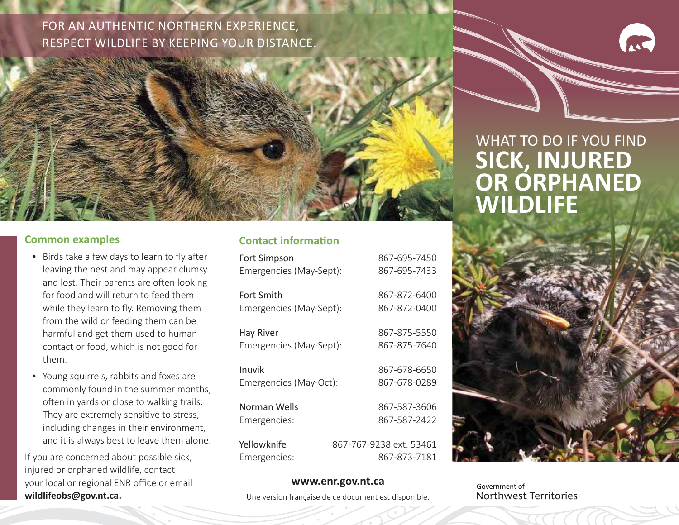### FOR AN AUTHENTIC NORTHERN EXPERIENCE, RESPECT WILDLIFE BY KEEPING YOUR DISTANCE.



#### **Common examples**

- Birds take a few days to learn to fly after leaving the nest and may appear clumsy and lost. Their parents are often looking for food and will return to feed them while they learn to fly. Removing them from the wild or feeding them can be harmful and get them used to human contact or food, which is not good for them.
- Young squirrels, rabbits and foxes are commonly found in the summer months, often in yards or close to walking trails. They are extremely sensitive to stress, including changes in their environment, and it is always best to leave them alone.

If you are concerned about possible sick, injured or orphaned wildlife, contact your local or regional ENR office or email **wildlifeobs@gov.nt.ca.**

#### **Contact information**

| Emergencies (May-Sept): |                                                                                                                                                                                                         |
|-------------------------|---------------------------------------------------------------------------------------------------------------------------------------------------------------------------------------------------------|
|                         |                                                                                                                                                                                                         |
| Emergencies (May-Sept): |                                                                                                                                                                                                         |
|                         |                                                                                                                                                                                                         |
| Emergencies (May-Sept): |                                                                                                                                                                                                         |
|                         |                                                                                                                                                                                                         |
| Emergencies (May-Oct):  |                                                                                                                                                                                                         |
|                         |                                                                                                                                                                                                         |
|                         |                                                                                                                                                                                                         |
|                         |                                                                                                                                                                                                         |
|                         |                                                                                                                                                                                                         |
|                         | 867-695-7450<br>867-695-7433<br>867-872-6400<br>867-872-0400<br>867-875-5550<br>867-875-7640<br>867-678-6650<br>867-678-0289<br>867-587-3606<br>867-587-2422<br>867-767-9238 ext. 53461<br>867-873-7181 |

## WHAT TO DO IF YOU FIND **SICK, INJURED OR ORPHANED WILDLIFE**



#### **www.enr.gov.nt.ca**

Une version française de ce document est disponible.

Government of Northwest Territories